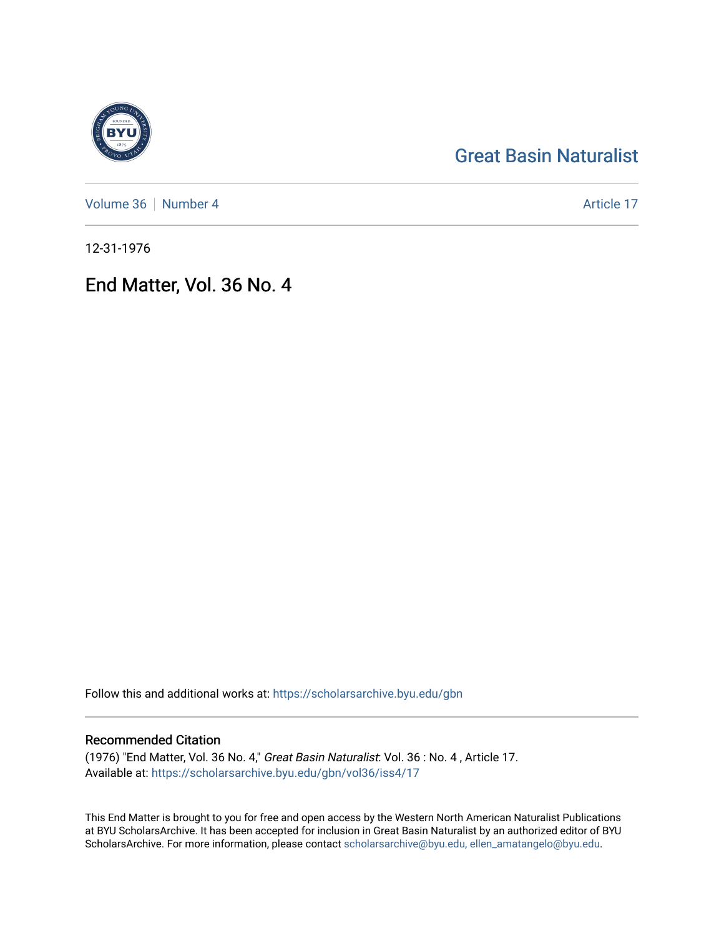# [Great Basin Naturalist](https://scholarsarchive.byu.edu/gbn)

[Volume 36](https://scholarsarchive.byu.edu/gbn/vol36) | [Number 4](https://scholarsarchive.byu.edu/gbn/vol36/iss4) Article 17

12-31-1976

## End Matter, Vol. 36 No. 4

Follow this and additional works at: [https://scholarsarchive.byu.edu/gbn](https://scholarsarchive.byu.edu/gbn?utm_source=scholarsarchive.byu.edu%2Fgbn%2Fvol36%2Fiss4%2F17&utm_medium=PDF&utm_campaign=PDFCoverPages) 

### Recommended Citation

(1976) "End Matter, Vol. 36 No. 4," Great Basin Naturalist: Vol. 36 : No. 4 , Article 17. Available at: [https://scholarsarchive.byu.edu/gbn/vol36/iss4/17](https://scholarsarchive.byu.edu/gbn/vol36/iss4/17?utm_source=scholarsarchive.byu.edu%2Fgbn%2Fvol36%2Fiss4%2F17&utm_medium=PDF&utm_campaign=PDFCoverPages) 

This End Matter is brought to you for free and open access by the Western North American Naturalist Publications at BYU ScholarsArchive. It has been accepted for inclusion in Great Basin Naturalist by an authorized editor of BYU ScholarsArchive. For more information, please contact [scholarsarchive@byu.edu, ellen\\_amatangelo@byu.edu.](mailto:scholarsarchive@byu.edu,%20ellen_amatangelo@byu.edu)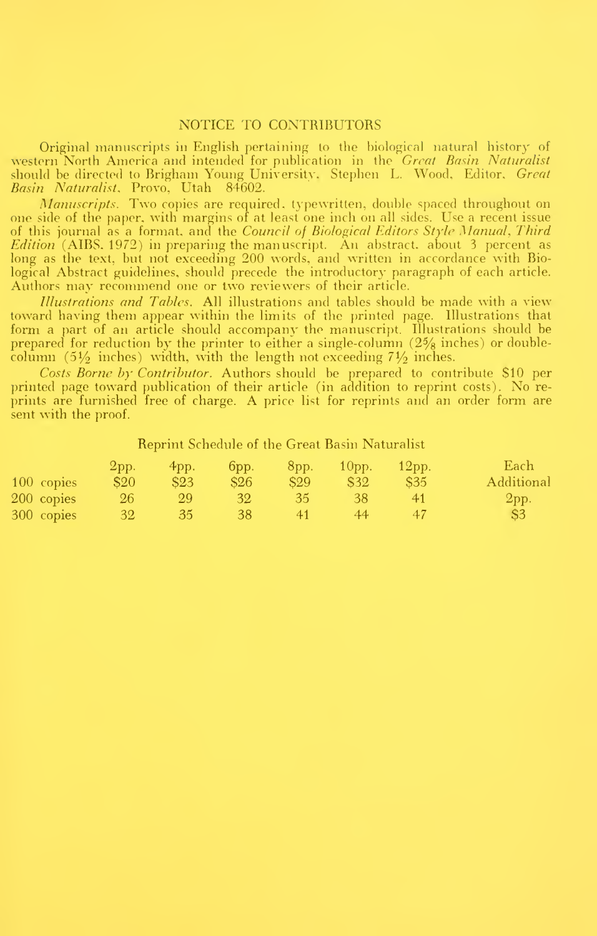#### NOTICE TO CONTRIBUTORS

Original manuscripts in English pertaining to the biological natural history of western North America and intended for publication in the *Great Basin Naturalist* and should be directed to Brigham Young University,Stephen L. Wood,Editor,*Great* Basin Naturalist. Provo, Utah 84602.

Manuscripts. Two copies are required, typewritten, double spaced throughout on one side of the paper, with margins of at least one inch on all sides. Use a recent issue of this journal as a format, and the Co*uncil of Biological Editors Style Manual, Third Edition* (AIBS, 1972) in preparing the manuscript. An abstract, about 3 percent as long as the text, but not exceeding 200 words, and written in accordance with Biological Abstract guidelines, should precede the introductory paragraph of each article. Authors may recommend one or two reviewers of their article.

*Illustrations and Tables.* All illustrations and tables should be made with a view toward having them appear within the limits of the printed page. Illustrations that form a part of an article should accompany the manuscript. Illustrations should be prepared for reduction by the printer to either a single-column (2% inches) or doublecolumn (5 $\frac{1}{2}$  inches) width, with the length not exceeding 7 $\frac{1}{2}$  inches.

Costs Borne by Contributor. Authors should be prepared to contribute \$10 per printed page toward publication of their article (in addition to reprint costs). No re prints are furnished free of charge. A price list for reprints and an order form are sent with the proof.

Reprint Schedule of the Great Basin Naturalist

|            | 2pp.         | 4pp. | $6$ pp.         | $8$ pp.         | 10 <sub>pp</sub> | $12$ pp. | Each           |
|------------|--------------|------|-----------------|-----------------|------------------|----------|----------------|
| 100 copies | \$20         | \$23 | \$26            | S <sub>29</sub> | S32              | \$35     | Additional     |
| 200 copies | $26^{\circ}$ | 29   | 32 <sup>1</sup> | 35              | 38               | 41       | 2pp.           |
| 300 copies | 32           | 35   | 38              | 41              | 44.              | 47       | S <sub>3</sub> |